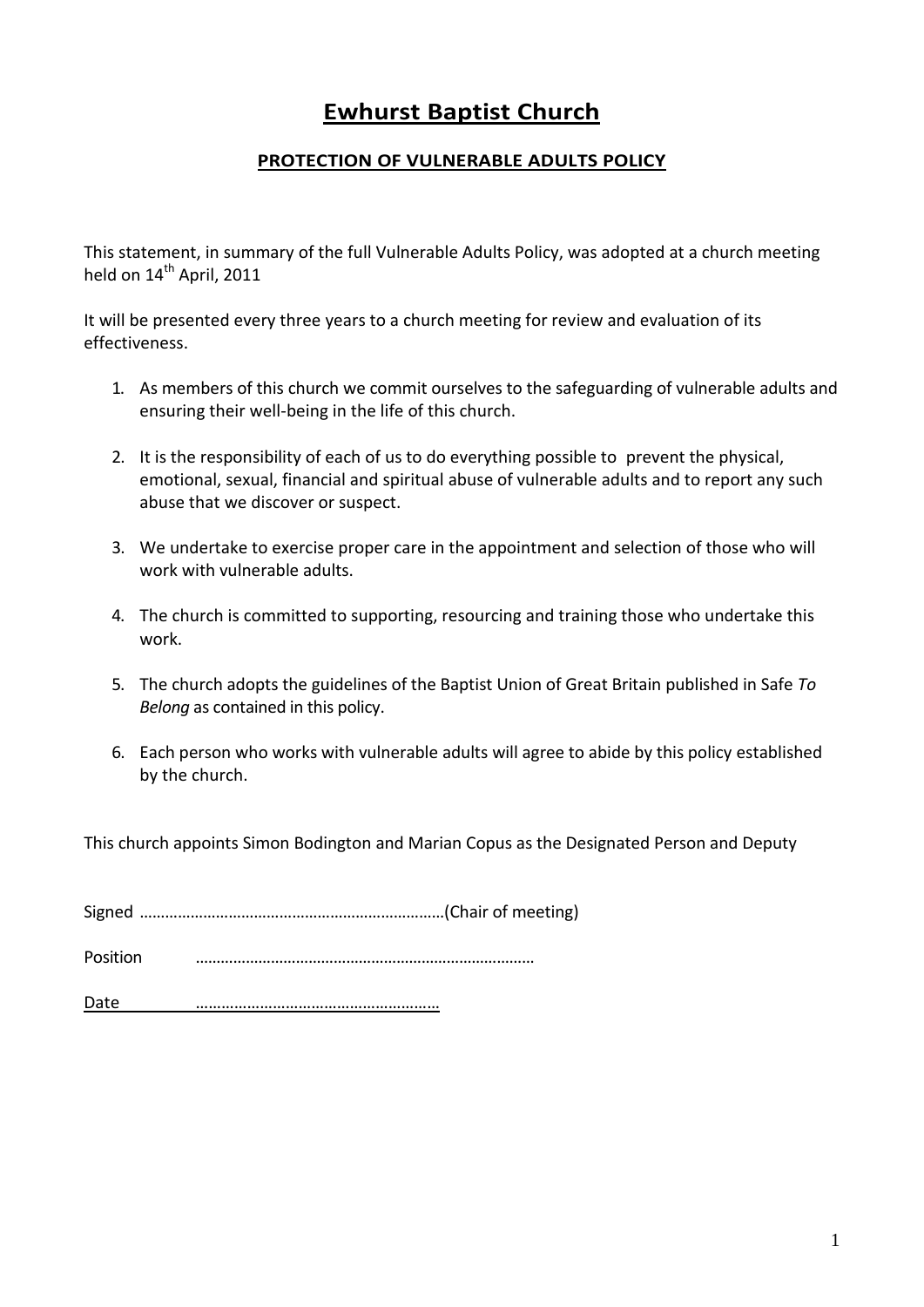# **Ewhurst Baptist Church**

#### **PROTECTION OF VULNERABLE ADULTS POLICY**

This statement, in summary of the full Vulnerable Adults Policy, was adopted at a church meeting held on 14<sup>th</sup> April, 2011

It will be presented every three years to a church meeting for review and evaluation of its effectiveness.

- 1. As members of this church we commit ourselves to the safeguarding of vulnerable adults and ensuring their well-being in the life of this church.
- 2. It is the responsibility of each of us to do everything possible to prevent the physical, emotional, sexual, financial and spiritual abuse of vulnerable adults and to report any such abuse that we discover or suspect.
- 3. We undertake to exercise proper care in the appointment and selection of those who will work with vulnerable adults.
- 4. The church is committed to supporting, resourcing and training those who undertake this work.
- 5. The church adopts the guidelines of the Baptist Union of Great Britain published in Safe *To Belong* as contained in this policy.
- 6. Each person who works with vulnerable adults will agree to abide by this policy established by the church.

This church appoints Simon Bodington and Marian Copus as the Designated Person and Deputy

Signed ………………………………………………………………(Chair of meeting)

Position ………………………………………………………………………

Date …………………………………………………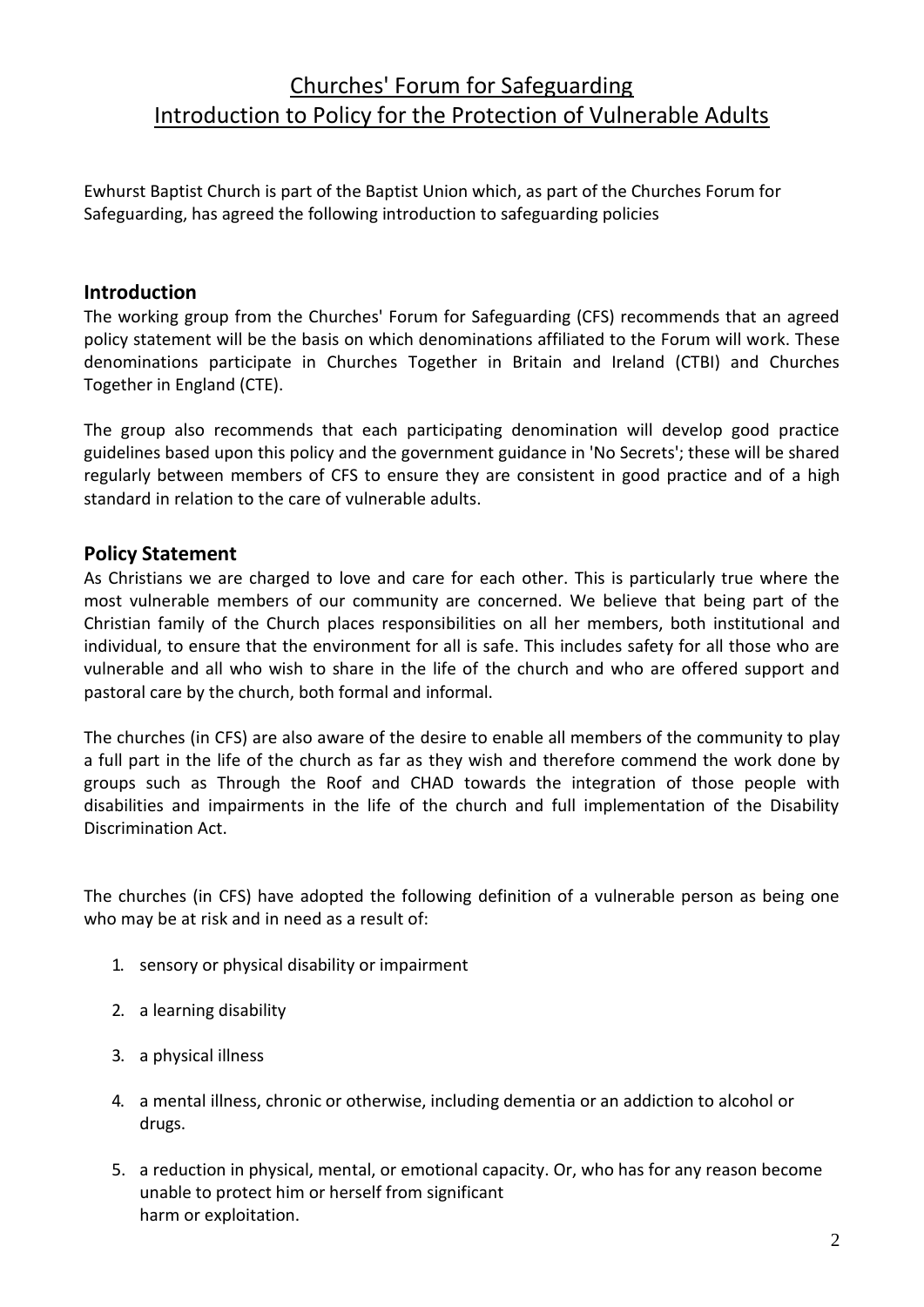# Churches' Forum for Safeguarding Introduction to Policy for the Protection of Vulnerable Adults

Ewhurst Baptist Church is part of the Baptist Union which, as part of the Churches Forum for Safeguarding, has agreed the following introduction to safeguarding policies

### **Introduction**

The working group from the Churches' Forum for Safeguarding (CFS) recommends that an agreed policy statement will be the basis on which denominations affiliated to the Forum will work. These denominations participate in Churches Together in Britain and Ireland (CTBI) and Churches Together in England (CTE).

The group also recommends that each participating denomination will develop good practice guidelines based upon this policy and the government guidance in 'No Secrets'; these will be shared regularly between members of CFS to ensure they are consistent in good practice and of a high standard in relation to the care of vulnerable adults.

# **Policy Statement**

As Christians we are charged to love and care for each other. This is particularly true where the most vulnerable members of our community are concerned. We believe that being part of the Christian family of the Church places responsibilities on all her members, both institutional and individual, to ensure that the environment for all is safe. This includes safety for all those who are vulnerable and all who wish to share in the life of the church and who are offered support and pastoral care by the church, both formal and informal.

The churches (in CFS) are also aware of the desire to enable all members of the community to play a full part in the life of the church as far as they wish and therefore commend the work done by groups such as Through the Roof and CHAD towards the integration of those people with disabilities and impairments in the life of the church and full implementation of the Disability Discrimination Act.

The churches (in CFS) have adopted the following definition of a vulnerable person as being one who may be at risk and in need as a result of:

- 1. sensory or physical disability or impairment
- 2. a learning disability
- 3. a physical illness
- 4. a mental illness, chronic or otherwise, including dementia or an addiction to alcohol or drugs.
- 5. a reduction in physical, mental, or emotional capacity. Or, who has for any reason become unable to protect him or herself from significant harm or exploitation.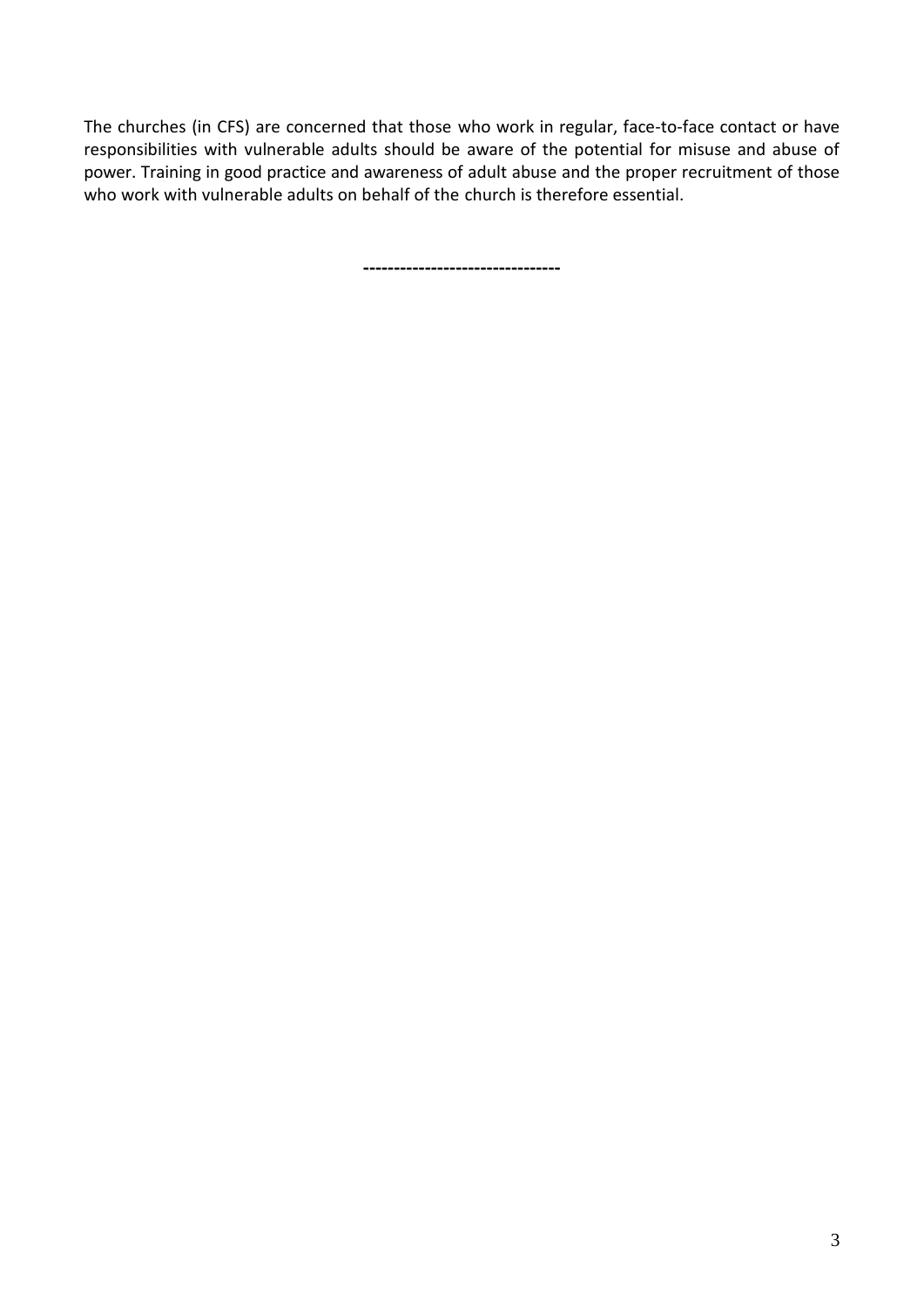The churches (in CFS) are concerned that those who work in regular, face-to-face contact or have responsibilities with vulnerable adults should be aware of the potential for misuse and abuse of power. Training in good practice and awareness of adult abuse and the proper recruitment of those who work with vulnerable adults on behalf of the church is therefore essential.

**--------------------------------**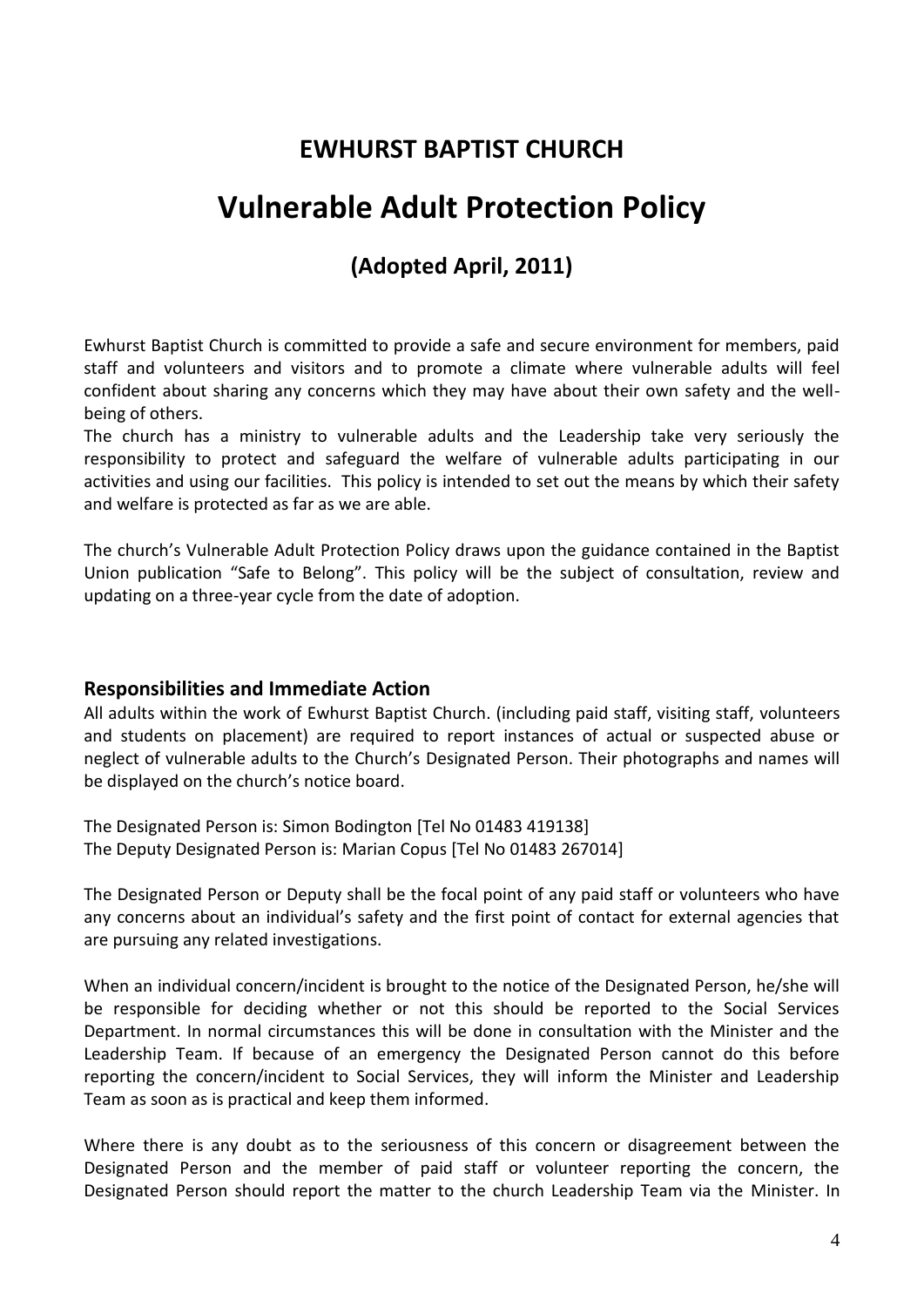# **EWHURST BAPTIST CHURCH**

# **Vulnerable Adult Protection Policy**

# **(Adopted April, 2011)**

Ewhurst Baptist Church is committed to provide a safe and secure environment for members, paid staff and volunteers and visitors and to promote a climate where vulnerable adults will feel confident about sharing any concerns which they may have about their own safety and the wellbeing of others.

The church has a ministry to vulnerable adults and the Leadership take very seriously the responsibility to protect and safeguard the welfare of vulnerable adults participating in our activities and using our facilities. This policy is intended to set out the means by which their safety and welfare is protected as far as we are able.

The church's Vulnerable Adult Protection Policy draws upon the guidance contained in the Baptist Union publication "Safe to Belong". This policy will be the subject of consultation, review and updating on a three-year cycle from the date of adoption.

#### **Responsibilities and Immediate Action**

All adults within the work of Ewhurst Baptist Church. (including paid staff, visiting staff, volunteers and students on placement) are required to report instances of actual or suspected abuse or neglect of vulnerable adults to the Church's Designated Person. Their photographs and names will be displayed on the church's notice board.

The Designated Person is: Simon Bodington [Tel No 01483 419138] The Deputy Designated Person is: Marian Copus [Tel No 01483 267014]

The Designated Person or Deputy shall be the focal point of any paid staff or volunteers who have any concerns about an individual's safety and the first point of contact for external agencies that are pursuing any related investigations.

When an individual concern/incident is brought to the notice of the Designated Person, he/she will be responsible for deciding whether or not this should be reported to the Social Services Department. In normal circumstances this will be done in consultation with the Minister and the Leadership Team. If because of an emergency the Designated Person cannot do this before reporting the concern/incident to Social Services, they will inform the Minister and Leadership Team as soon as is practical and keep them informed.

Where there is any doubt as to the seriousness of this concern or disagreement between the Designated Person and the member of paid staff or volunteer reporting the concern, the Designated Person should report the matter to the church Leadership Team via the Minister. In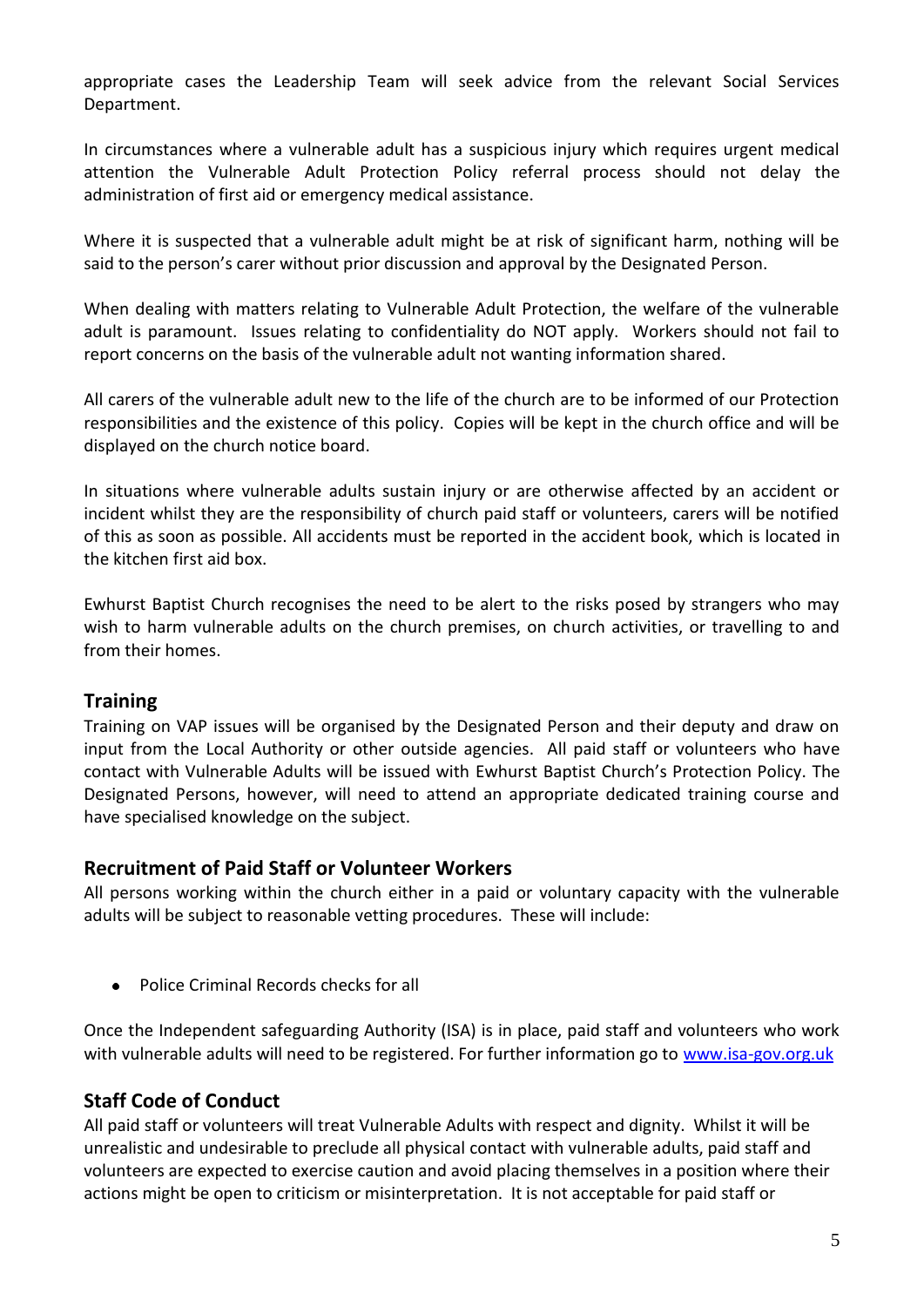appropriate cases the Leadership Team will seek advice from the relevant Social Services Department.

In circumstances where a vulnerable adult has a suspicious injury which requires urgent medical attention the Vulnerable Adult Protection Policy referral process should not delay the administration of first aid or emergency medical assistance.

Where it is suspected that a vulnerable adult might be at risk of significant harm, nothing will be said to the person's carer without prior discussion and approval by the Designated Person.

When dealing with matters relating to Vulnerable Adult Protection, the welfare of the vulnerable adult is paramount. Issues relating to confidentiality do NOT apply. Workers should not fail to report concerns on the basis of the vulnerable adult not wanting information shared.

All carers of the vulnerable adult new to the life of the church are to be informed of our Protection responsibilities and the existence of this policy. Copies will be kept in the church office and will be displayed on the church notice board.

In situations where vulnerable adults sustain injury or are otherwise affected by an accident or incident whilst they are the responsibility of church paid staff or volunteers, carers will be notified of this as soon as possible. All accidents must be reported in the accident book, which is located in the kitchen first aid box.

Ewhurst Baptist Church recognises the need to be alert to the risks posed by strangers who may wish to harm vulnerable adults on the church premises, on church activities, or travelling to and from their homes.

#### **Training**

Training on VAP issues will be organised by the Designated Person and their deputy and draw on input from the Local Authority or other outside agencies. All paid staff or volunteers who have contact with Vulnerable Adults will be issued with Ewhurst Baptist Church's Protection Policy. The Designated Persons, however, will need to attend an appropriate dedicated training course and have specialised knowledge on the subject.

#### **Recruitment of Paid Staff or Volunteer Workers**

All persons working within the church either in a paid or voluntary capacity with the vulnerable adults will be subject to reasonable vetting procedures. These will include:

Police Criminal Records checks for all

Once the Independent safeguarding Authority (ISA) is in place, paid staff and volunteers who work with vulnerable adults will need to be registered. For further information go to [www.isa-gov.org.uk](http://www.isa-gov.org.uk/)

### **Staff Code of Conduct**

All paid staff or volunteers will treat Vulnerable Adults with respect and dignity. Whilst it will be unrealistic and undesirable to preclude all physical contact with vulnerable adults, paid staff and volunteers are expected to exercise caution and avoid placing themselves in a position where their actions might be open to criticism or misinterpretation. It is not acceptable for paid staff or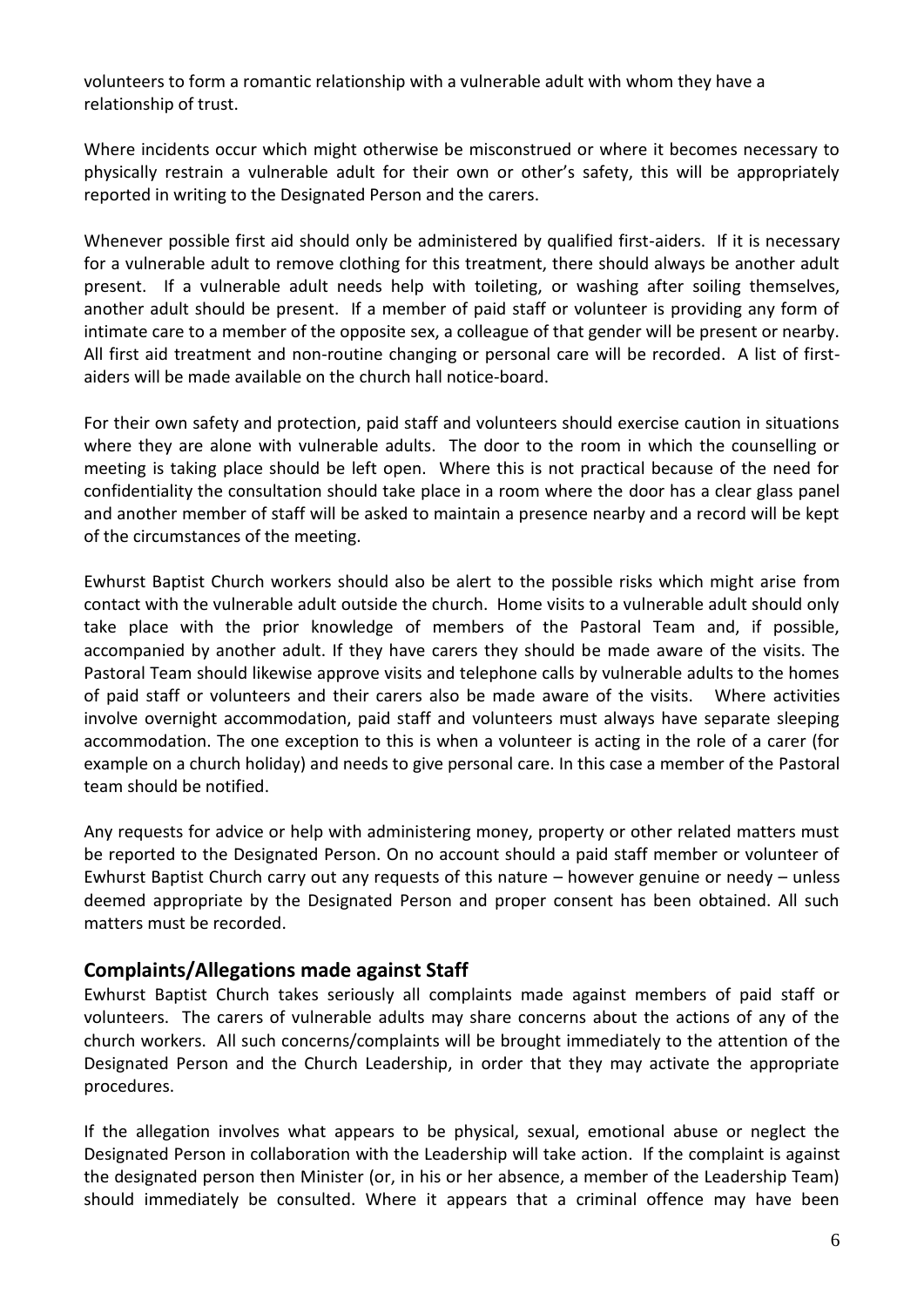volunteers to form a romantic relationship with a vulnerable adult with whom they have a relationship of trust.

Where incidents occur which might otherwise be misconstrued or where it becomes necessary to physically restrain a vulnerable adult for their own or other's safety, this will be appropriately reported in writing to the Designated Person and the carers.

Whenever possible first aid should only be administered by qualified first-aiders. If it is necessary for a vulnerable adult to remove clothing for this treatment, there should always be another adult present. If a vulnerable adult needs help with toileting, or washing after soiling themselves, another adult should be present. If a member of paid staff or volunteer is providing any form of intimate care to a member of the opposite sex, a colleague of that gender will be present or nearby. All first aid treatment and non-routine changing or personal care will be recorded. A list of firstaiders will be made available on the church hall notice-board.

For their own safety and protection, paid staff and volunteers should exercise caution in situations where they are alone with vulnerable adults. The door to the room in which the counselling or meeting is taking place should be left open. Where this is not practical because of the need for confidentiality the consultation should take place in a room where the door has a clear glass panel and another member of staff will be asked to maintain a presence nearby and a record will be kept of the circumstances of the meeting.

Ewhurst Baptist Church workers should also be alert to the possible risks which might arise from contact with the vulnerable adult outside the church. Home visits to a vulnerable adult should only take place with the prior knowledge of members of the Pastoral Team and, if possible, accompanied by another adult. If they have carers they should be made aware of the visits. The Pastoral Team should likewise approve visits and telephone calls by vulnerable adults to the homes of paid staff or volunteers and their carers also be made aware of the visits. Where activities involve overnight accommodation, paid staff and volunteers must always have separate sleeping accommodation. The one exception to this is when a volunteer is acting in the role of a carer (for example on a church holiday) and needs to give personal care. In this case a member of the Pastoral team should be notified.

Any requests for advice or help with administering money, property or other related matters must be reported to the Designated Person. On no account should a paid staff member or volunteer of Ewhurst Baptist Church carry out any requests of this nature – however genuine or needy – unless deemed appropriate by the Designated Person and proper consent has been obtained. All such matters must be recorded.

### **Complaints/Allegations made against Staff**

Ewhurst Baptist Church takes seriously all complaints made against members of paid staff or volunteers. The carers of vulnerable adults may share concerns about the actions of any of the church workers. All such concerns/complaints will be brought immediately to the attention of the Designated Person and the Church Leadership, in order that they may activate the appropriate procedures.

If the allegation involves what appears to be physical, sexual, emotional abuse or neglect the Designated Person in collaboration with the Leadership will take action. If the complaint is against the designated person then Minister (or, in his or her absence, a member of the Leadership Team) should immediately be consulted. Where it appears that a criminal offence may have been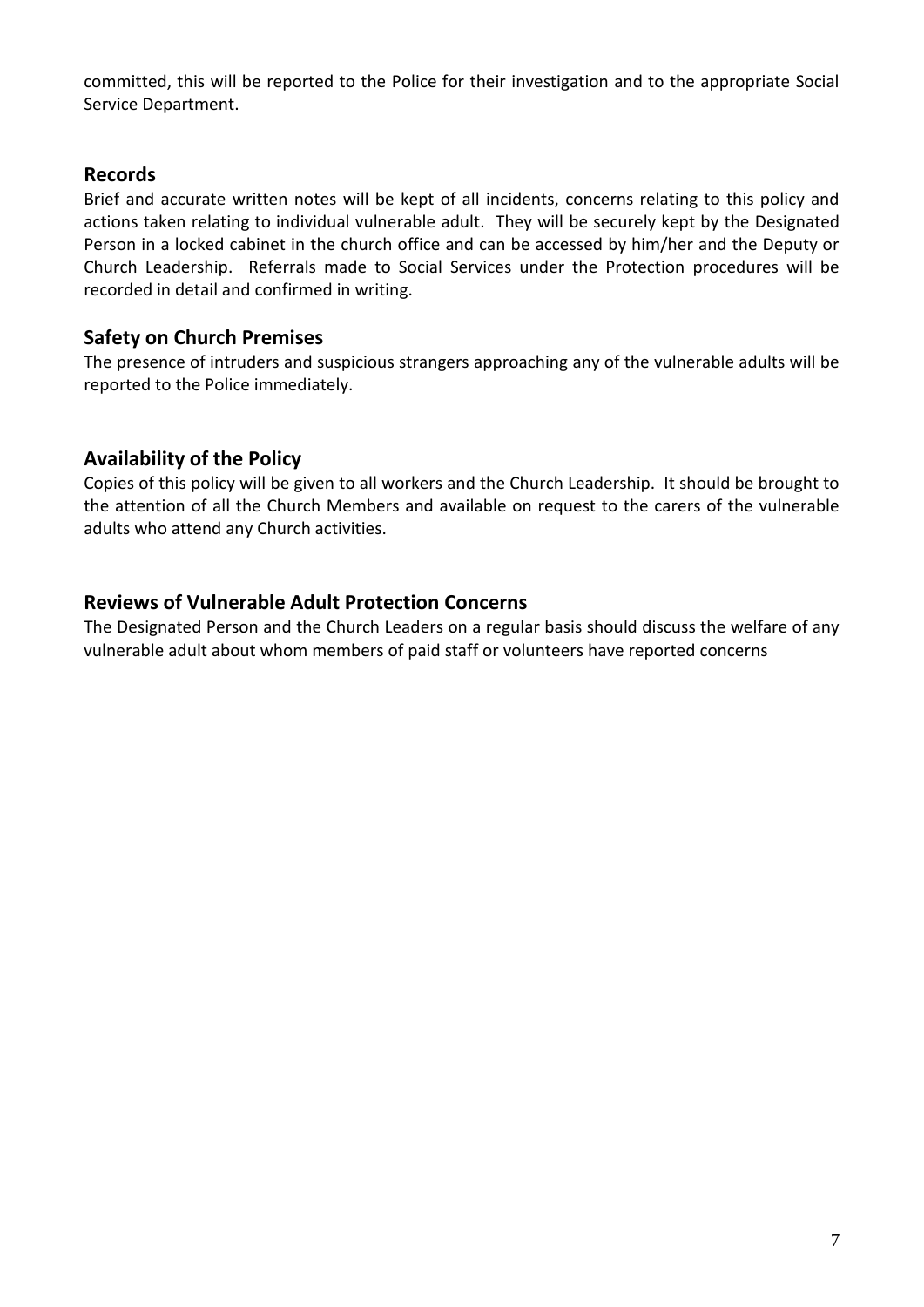committed, this will be reported to the Police for their investigation and to the appropriate Social Service Department.

### **Records**

Brief and accurate written notes will be kept of all incidents, concerns relating to this policy and actions taken relating to individual vulnerable adult. They will be securely kept by the Designated Person in a locked cabinet in the church office and can be accessed by him/her and the Deputy or Church Leadership. Referrals made to Social Services under the Protection procedures will be recorded in detail and confirmed in writing.

# **Safety on Church Premises**

The presence of intruders and suspicious strangers approaching any of the vulnerable adults will be reported to the Police immediately.

# **Availability of the Policy**

Copies of this policy will be given to all workers and the Church Leadership. It should be brought to the attention of all the Church Members and available on request to the carers of the vulnerable adults who attend any Church activities.

# **Reviews of Vulnerable Adult Protection Concerns**

The Designated Person and the Church Leaders on a regular basis should discuss the welfare of any vulnerable adult about whom members of paid staff or volunteers have reported concerns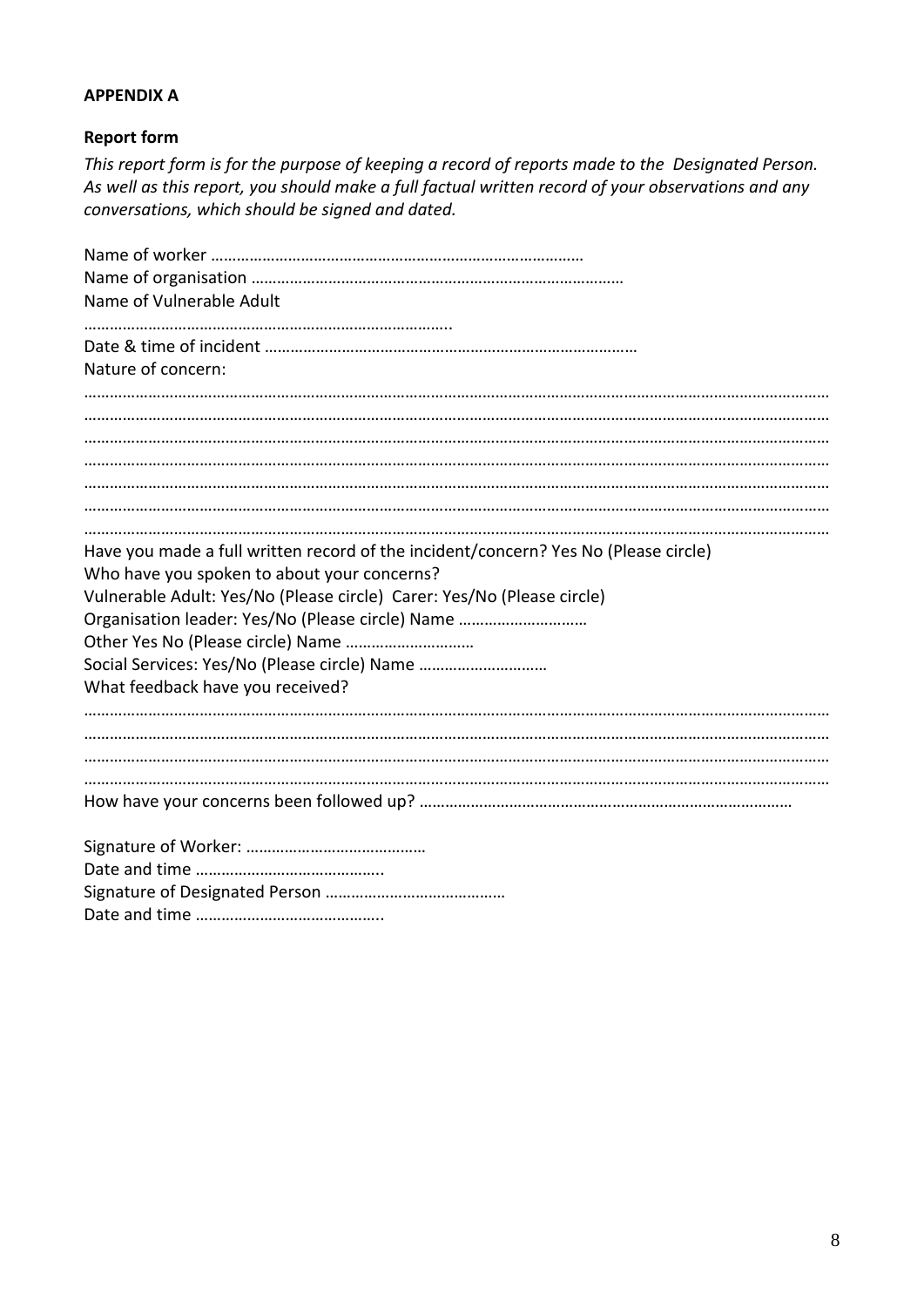#### **APPENDIX A**

#### **Report form**

*This report form is for the purpose of keeping a record of reports made to the Designated Person. As well as this report, you should make a full factual written record of your observations and any conversations, which should be signed and dated.*

| Name of Vulnerable Adult                                                                                                                                                                                                                                                                                                                             |
|------------------------------------------------------------------------------------------------------------------------------------------------------------------------------------------------------------------------------------------------------------------------------------------------------------------------------------------------------|
| Nature of concern:                                                                                                                                                                                                                                                                                                                                   |
|                                                                                                                                                                                                                                                                                                                                                      |
|                                                                                                                                                                                                                                                                                                                                                      |
| Have you made a full written record of the incident/concern? Yes No (Please circle)<br>Who have you spoken to about your concerns?<br>Vulnerable Adult: Yes/No (Please circle) Carer: Yes/No (Please circle)<br>Organisation leader: Yes/No (Please circle) Name<br>Social Services: Yes/No (Please circle) Name<br>What feedback have you received? |
|                                                                                                                                                                                                                                                                                                                                                      |
|                                                                                                                                                                                                                                                                                                                                                      |
|                                                                                                                                                                                                                                                                                                                                                      |

| Dete and these |  |
|----------------|--|

Date and time ……………………………………..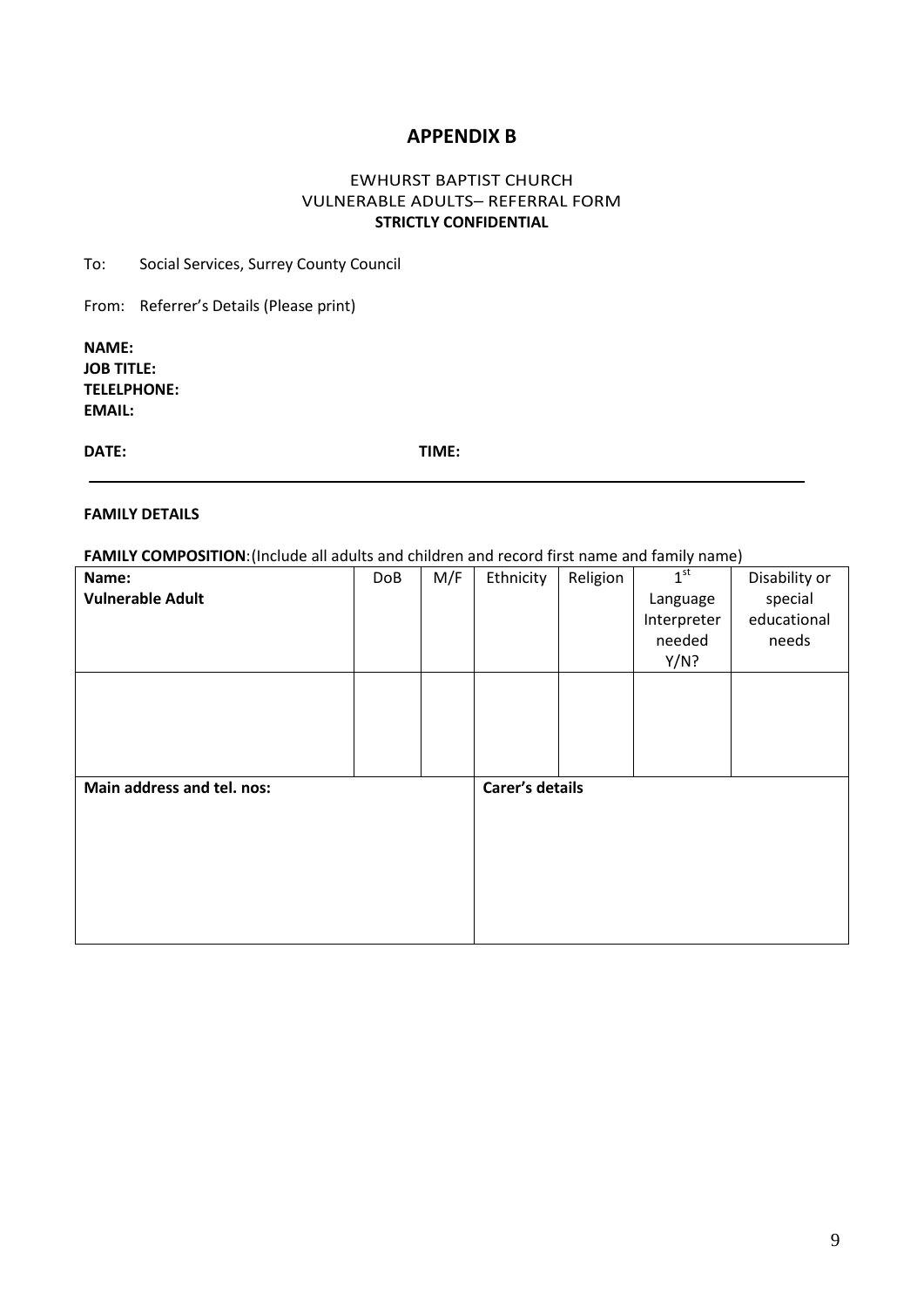#### **APPENDIX B**

#### EWHURST BAPTIST CHURCH VULNERABLE ADULTS– REFERRAL FORM **STRICTLY CONFIDENTIAL**

To: Social Services, Surrey County Council

From: Referrer's Details (Please print)

**NAME: JOB TITLE: TELELPHONE: EMAIL:**

**DATE: TIME:** 

#### **FAMILY DETAILS**

**FAMILY COMPOSITION**:(Include all adults and children and record first name and family name)

| Name:                      | <b>DoB</b> | M/F | Ethnicity              | Religion | 1 <sup>st</sup> | Disability or |
|----------------------------|------------|-----|------------------------|----------|-----------------|---------------|
| <b>Vulnerable Adult</b>    |            |     |                        |          | Language        | special       |
|                            |            |     |                        |          | Interpreter     | educational   |
|                            |            |     |                        |          | needed          | needs         |
|                            |            |     |                        |          | Y/N?            |               |
|                            |            |     |                        |          |                 |               |
|                            |            |     |                        |          |                 |               |
|                            |            |     |                        |          |                 |               |
|                            |            |     |                        |          |                 |               |
|                            |            |     |                        |          |                 |               |
| Main address and tel. nos: |            |     | <b>Carer's details</b> |          |                 |               |
|                            |            |     |                        |          |                 |               |
|                            |            |     |                        |          |                 |               |
|                            |            |     |                        |          |                 |               |
|                            |            |     |                        |          |                 |               |
|                            |            |     |                        |          |                 |               |
|                            |            |     |                        |          |                 |               |
|                            |            |     |                        |          |                 |               |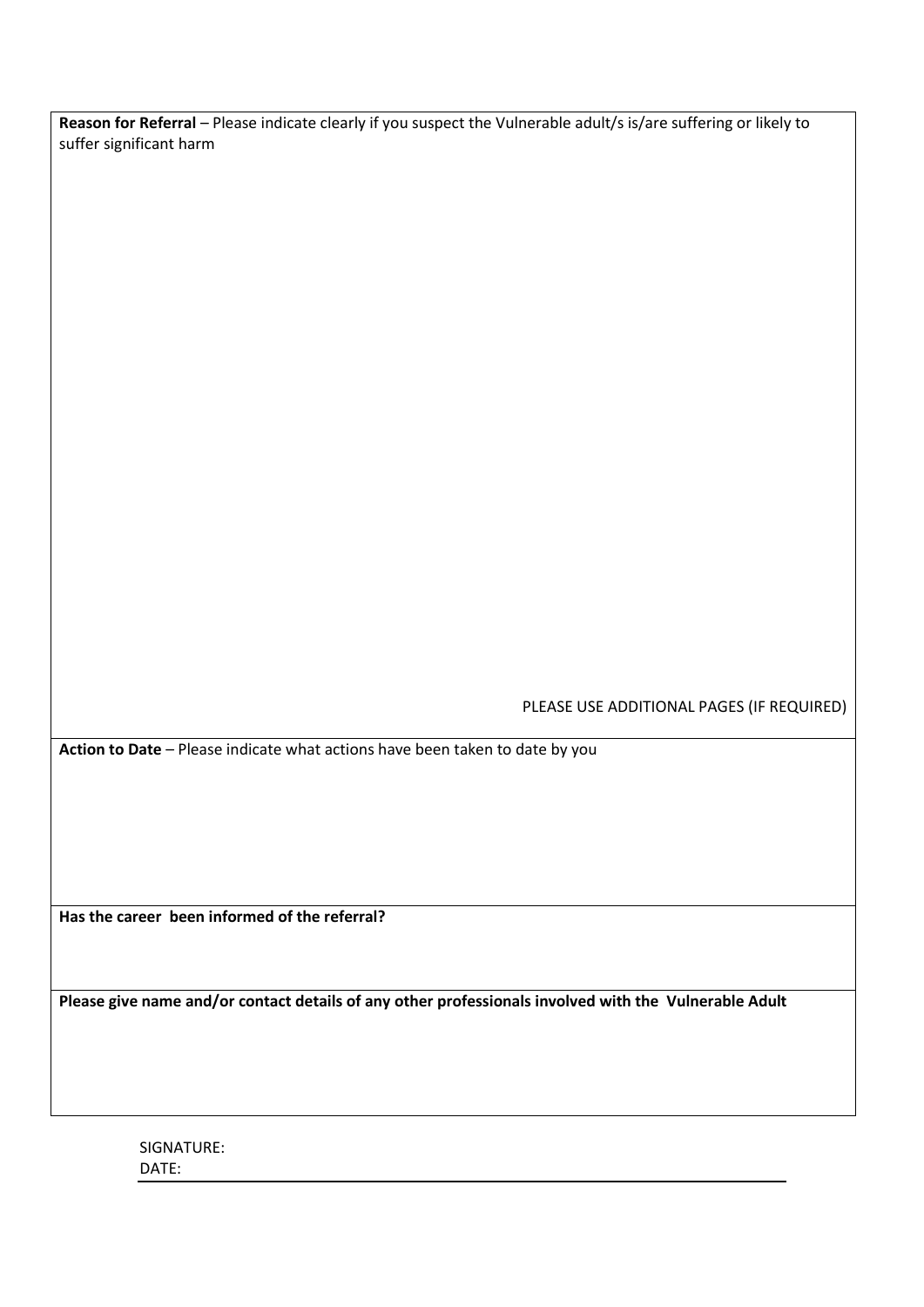**Reason for Referral** – Please indicate clearly if you suspect the Vulnerable adult/s is/are suffering or likely to suffer significant harm

PLEASE USE ADDITIONAL PAGES (IF REQUIRED)

**Action to Date** – Please indicate what actions have been taken to date by you

**Has the career been informed of the referral?**

**Please give name and/or contact details of any other professionals involved with the Vulnerable Adult**

SIGNATURE: DATE: